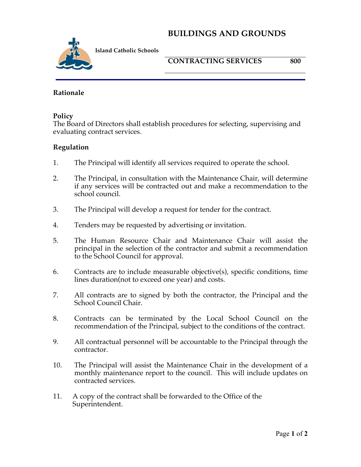## **BUILDINGS AND GROUNDS**



**Island Catholic Schools** 

**CONTRACTING SERVICES 800**

#### **Rationale**

#### **Policy**

The Board of Directors shall establish procedures for selecting, supervising and evaluating contract services.

### **Regulation**

- 1. The Principal will identify all services required to operate the school.
- 2. The Principal, in consultation with the Maintenance Chair, will determine if any services will be contracted out and make a recommendation to the school council.
- 3. The Principal will develop a request for tender for the contract.
- 4. Tenders may be requested by advertising or invitation.
- 5. The Human Resource Chair and Maintenance Chair will assist the principal in the selection of the contractor and submit a recommendation to the School Council for approval.
- 6. Contracts are to include measurable objective(s), specific conditions, time lines duration(not to exceed one year) and costs.
- 7. All contracts are to signed by both the contractor, the Principal and the School Council Chair.
- 8. Contracts can be terminated by the Local School Council on the recommendation of the Principal, subject to the conditions of the contract.
- 9. All contractual personnel will be accountable to the Principal through the contractor.
- 10. The Principal will assist the Maintenance Chair in the development of a monthly maintenance report to the council. This will include updates on contracted services.
- 11. A copy of the contract shall be forwarded to the Office of the Superintendent.